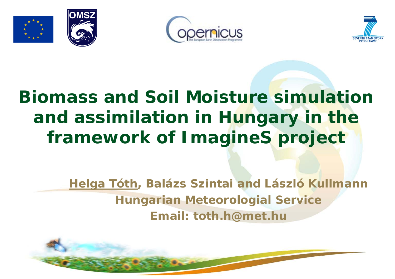





# **Biomass and Soil Moisture simulation and assimilation in Hungary in the framework of ImagineS project**

**Helga Tóth, Balázs Szintai and László Kullmann Hungarian Meteorologial Service Email: toth.h@met.hu**

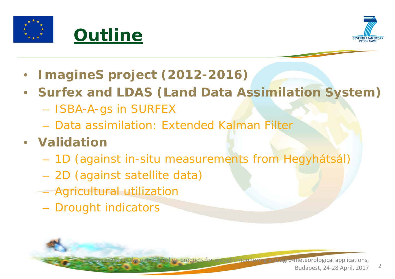



- **ImagineS project (2012-2016)**
- **Surfex and LDAS (Land Data Assimilation System)**
	- ISBA-A-gs in SURFEX
	- Data assimilation: Extended Kalman Filter
- **Validation**
	- 1D (against in-situ measurements from Hegyhátsál)
	- 2D (against satellite data)
	- Agricultural utilization
		- Drought indicators

te products for drought monitoring and agro-meteorological applications,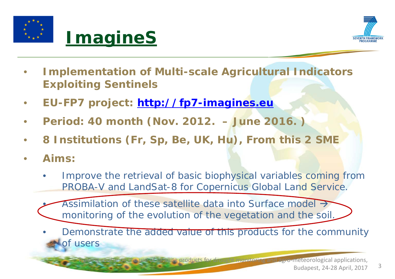



- **Implementation of Multi-scale Agricultural Indicators Exploiting Sentinels**
- **EU-FP7 project: [http://fp7-imagines.eu](http://fp7-imagines.eu/)**
- **Period: 40 month (Nov. 2012. – June 2016. )**
- **8 Institutions (Fr, Sp, Be, UK, Hu), From this 2 SME**
- **Aims:**
	- Improve the retrieval of basic biophysical variables coming from PROBA-V and LandSat-8 for Copernicus Global Land Service.
		- Assimilation of these satellite data into Surface model  $\rightarrow$ monitoring of the evolution of the vegetation and the soil.
	- Demonstrate the added value of this products for the community of users

ite products for drought monitoring and agro-meteorological applications,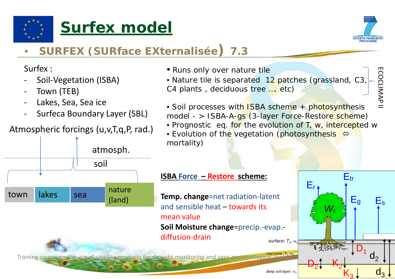





ECOCLIMAP II

COCLIMAP<sub>1</sub>

## • **SURFEX (SURface EXternalisée) 7.3**

Surfex :

- Soil-Vegetation (ISBA)
- Town (TEB)

town lakes sea

- Lakes, Sea, Sea ice
- Surfeca Boundary Layer (SBL)
- Atmospheric forcings (u,v,T,q,P, rad.)
- Runs only over nature tile
- Nature tile is separated 12 patches (grassland, C3 C4 plants , deciduous tree …. etc)
- Soil processes with ISBA scheme + photosynthesis model - > ISBA-A-gs (3-layer Force-Restore scheme)
- Prognostic eq. for the evolution of T, w, intercepted w
- Evolution of the vegetation (photosynthesis  $\Leftrightarrow$ mortality)

### **ISBA Force – Restore scheme:**

**Temp. change**=net radiation-latent and sensible heat – towards its mean value **Soil Moisture change**=precip.-evap. diffusion-drain



nature

atmosph.

soil

(land)

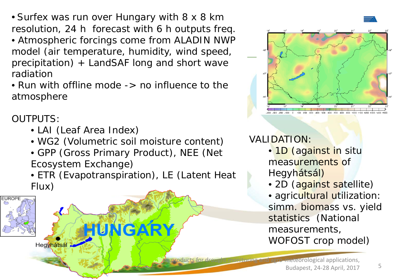• Surfex was run over Hungary with 8 x 8 km resolution, 24 h forecast with 6 h outputs freq.

- Atmospheric forcings come from ALADIN NWP model (air temperature, humidity, wind speed, precipitation) + LandSAF long and short wave radiation
- Run with offline mode -> no influence to the atmosphere

### OUTPUTS:

- LAI (Leaf Area Index)
- WG2 (Volumetric soil moisture content)
- GPP (Gross Primary Product), NEE (Net Ecosystem Exchange)
- ETR (Evapotranspiration), LE (Latent Heat Flux)





### VALIDATION:

- 1D (against in situ measurements of Hegyhátsál)
- 2D (against satellite)
- agricultural utilization: simm. biomass vs. yield statistics (National measurements, WOFOST crop model)

products for drought monitoring and agro-meteorological applications, Budapest, 24-28 April, 2017 <sup>5</sup>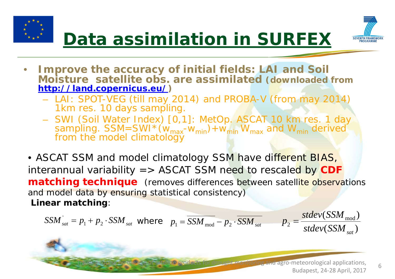



- **Improve the accuracy of initial fields: LAI and Soil Moisture satellite obs. are assimilated (downloaded from <http://land.copernicus.eu/>)**
	- LAI: SPOT-VEG (till may 2014) and PROBA-V (from may 2014) 1km res. 10 days sampling.
	- SWI (Soil Water Index) [0,1]: MetOp. ASCAT 10 km res. 1 day sampling.  $SSM=SWI * (w_{max} - w_{min}) + w_{min} W_{max}$  and  $W_{min}$  derived from the model climatology

• ASCAT SSM and model climatology SSM have different BIAS, interannual variability => ASCAT SSM need to rescaled by **CDF matching technique** (removes differences between satellite observations and model data by ensuring statistical consistency) **Linear matching**:

$$
SSM_{sat}^{'} = p_1 + p_2 \cdot SSM_{sat} \text{ where } p_1 = \overline{SSM_{mod}} - p_2 \cdot \overline{SSM_{sat}} \qquad p_2 = \frac{stdev(SSM_{mod})}{stdev(SSM_{sat})}
$$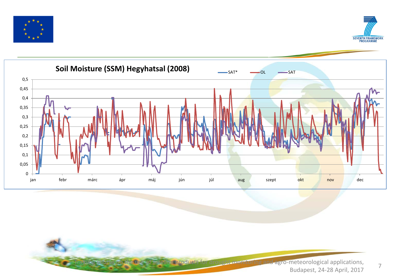





reluse of satellite products for drought monitoring and agro-meteorological applications, and  $7$ Budapest, 24-28 April, 2017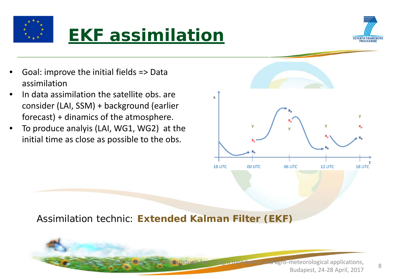

## **EKF assimilation**



- Goal: improve the initial fields => Data assimilation
- In data assimilation the satellite obs. are consider (LAI, SSM) + background (earlier forecast) + dinamics of the atmosphere.
- To produce analyis (LAI, WG1, WG2) at the initial time as close as possible to the obs.



Assimilation technic: **Extended Kalman Filter (EKF)**



of satellite products for drought monitoring and agro-meteorological applications, Budapest, 24-28 April, 2017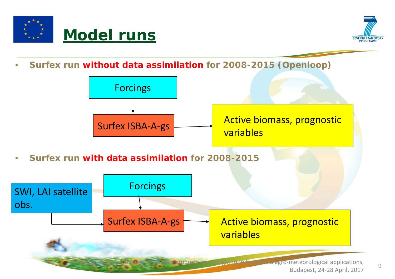



• **Surfex run without data assimilation for 2008-2015 (Openloop)**

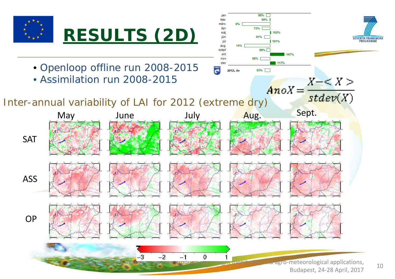

Budapest, 24-28 April, 2017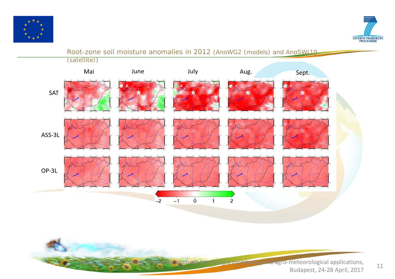



#### Root-zone soil moisture anomalies in 2012 (AnoWG2 (models) and AnoSWI10

(satellite))



Tre use of satellite products for drought monitoring and agro-meteorological applications, Budapest, 24-28 April, 2017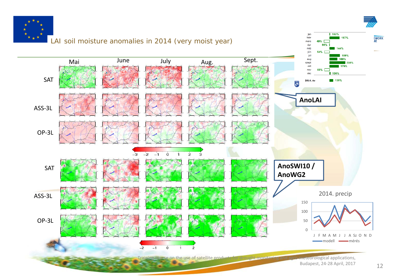





12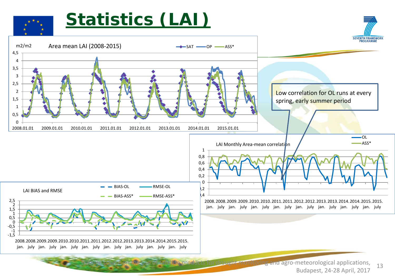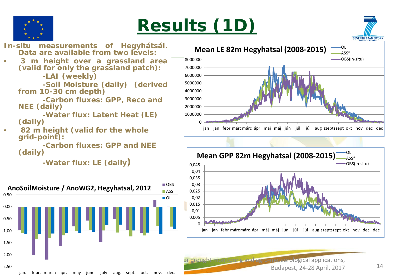

## **Results (1D)**



**In-situ measurements of Hegyhátsál. Data are available from two levels:**

• **3 m height over a grassland area (valid for only the grassland patch):**

**-LAI (weekly)**

**-Soil Moisture (daily) (derived from 10-30 cm depth)**

**-Carbon fluxes: GPP, Reco and NEE (daily)**

**-Water flux: Latent Heat (LE) (daily)**

• **82 m height (valid for the whole grid-point):**

**-Carbon fluxes: GPP and NEE (daily)**

**-Water flux: LE (daily)**







or drought monitoring and agro-meteorological applications, Budapest, 24-28 April, 2017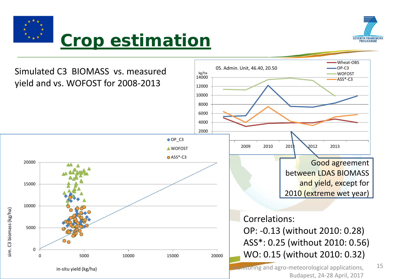

## **Crop estimation**



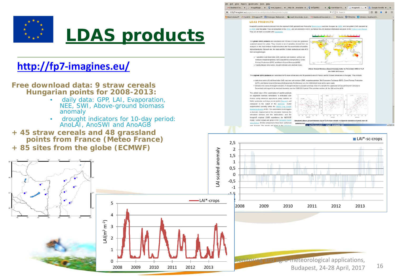

### **<http://fp7-imagines.eu/>**

**Free download data: 9 straw cereals Hungarian points for 2008-2013:** 

- daily data: GPP, LAI, Evaporation, NEE, SWI, Above-ground biomass anomaly
- drought indicators for 10-day period: AnoLAI, AnoSWI and AnoAGB

 $\Omega$ 

2008 2009 2010 2011 2012 2013

1

2

3

LAI $(m^2 m^{-2})$ 

4

5

- **+ 45 straw cereals and 48 grassland points from France (Meteo France)**
- **+ 85 sites from the globe (ECMWF)**



M Beérkező le... x | / ImageMagic... x | @ met tajekoz... x | http://b...lmetable x | @ IDŐjÁRÁS | x | @ Soil Water In... x | Imagines - L... x |

Elle Edit View History Bookmarks Tools Help

6 @ fp7-imagines.eu/pages/services-and-products/ida-

to pitering and agro-meteorological applications,

Budapest, 24-28 April, 2017 16